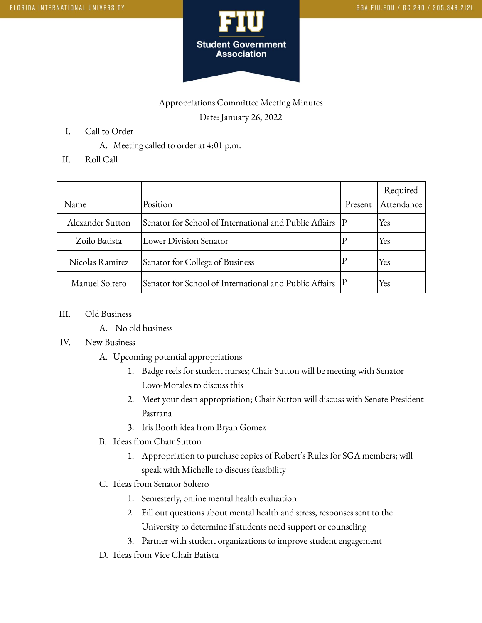

## Appropriations Committee Meeting Minutes

Date: January 26, 2022

- I. Call to Order
	- A. Meeting called to order at 4:01 p.m.
- II. Roll Call

|                  |                                                                       |         | Required   |
|------------------|-----------------------------------------------------------------------|---------|------------|
| Name             | Position                                                              | Present | Attendance |
| Alexander Sutton | Senator for School of International and Public Affairs   P            |         | Yes        |
| Zoilo Batista    | Lower Division Senator                                                |         | Yes        |
| Nicolas Ramirez  | Senator for College of Business                                       |         | Yes        |
| Manuel Soltero   | Senator for School of International and Public Affairs $\,$ $\rm [P]$ |         | Yes        |

- III. Old Business
	- A. No old business

## IV. New Business

- A. Upcoming potential appropriations
	- 1. Badge reels for student nurses; Chair Sutton will be meeting with Senator Lovo-Morales to discuss this
	- 2. Meet your dean appropriation; Chair Sutton will discuss with Senate President Pastrana
	- 3. Iris Booth idea from Bryan Gomez
- B. Ideas from Chair Sutton
	- 1. Appropriation to purchase copies of Robert's Rules for SGA members; will speak with Michelle to discuss feasibility
- C. Ideas from Senator Soltero
	- 1. Semesterly, online mental health evaluation
	- 2. Fill out questions about mental health and stress, responses sent to the University to determine if students need support or counseling
	- 3. Partner with student organizations to improve student engagement
- D. Ideas from Vice Chair Batista